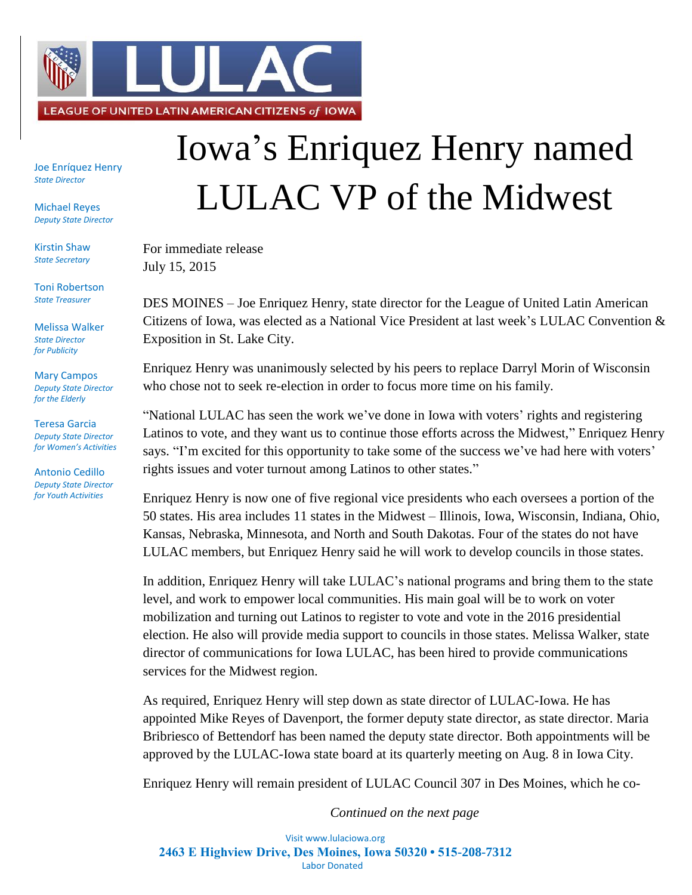

Joe Enríquez Henry *State Director*

Michael Reyes *Deputy State Director*

Kirstin Shaw *State Secretary*

Toni Robertson *State Treasurer*

Melissa Walker *State Director for Publicity*

Mary Campos *Deputy State Director for the Elderly*

Teresa Garcia *Deputy State Director for Women's Activities*

Antonio Cedillo *Deputy State Director for Youth Activities*

## Iowa's Enriquez Henry named LULAC VP of the Midwest

For immediate release July 15, 2015

DES MOINES – Joe Enriquez Henry, state director for the League of United Latin American Citizens of Iowa, was elected as a National Vice President at last week's LULAC Convention & Exposition in St. Lake City.

Enriquez Henry was unanimously selected by his peers to replace Darryl Morin of Wisconsin who chose not to seek re-election in order to focus more time on his family.

"National LULAC has seen the work we've done in Iowa with voters' rights and registering Latinos to vote, and they want us to continue those efforts across the Midwest," Enriquez Henry says. "I'm excited for this opportunity to take some of the success we've had here with voters' rights issues and voter turnout among Latinos to other states."

Enriquez Henry is now one of five regional vice presidents who each oversees a portion of the 50 states. His area includes 11 states in the Midwest – Illinois, Iowa, Wisconsin, Indiana, Ohio, Kansas, Nebraska, Minnesota, and North and South Dakotas. Four of the states do not have LULAC members, but Enriquez Henry said he will work to develop councils in those states.

In addition, Enriquez Henry will take LULAC's national programs and bring them to the state level, and work to empower local communities. His main goal will be to work on voter mobilization and turning out Latinos to register to vote and vote in the 2016 presidential election. He also will provide media support to councils in those states. Melissa Walker, state director of communications for Iowa LULAC, has been hired to provide communications services for the Midwest region.

As required, Enriquez Henry will step down as state director of LULAC-Iowa. He has appointed Mike Reyes of Davenport, the former deputy state director, as state director. Maria Bribriesco of Bettendorf has been named the deputy state director. Both appointments will be approved by the LULAC-Iowa state board at its quarterly meeting on Aug. 8 in Iowa City.

Enriquez Henry will remain president of LULAC Council 307 in Des Moines, which he co-

*Continued on the next page*

Visit www.lulaciowa.org **2463 E Highview Drive, Des Moines, Iowa 50320 • 515-208-7312** Labor Donated